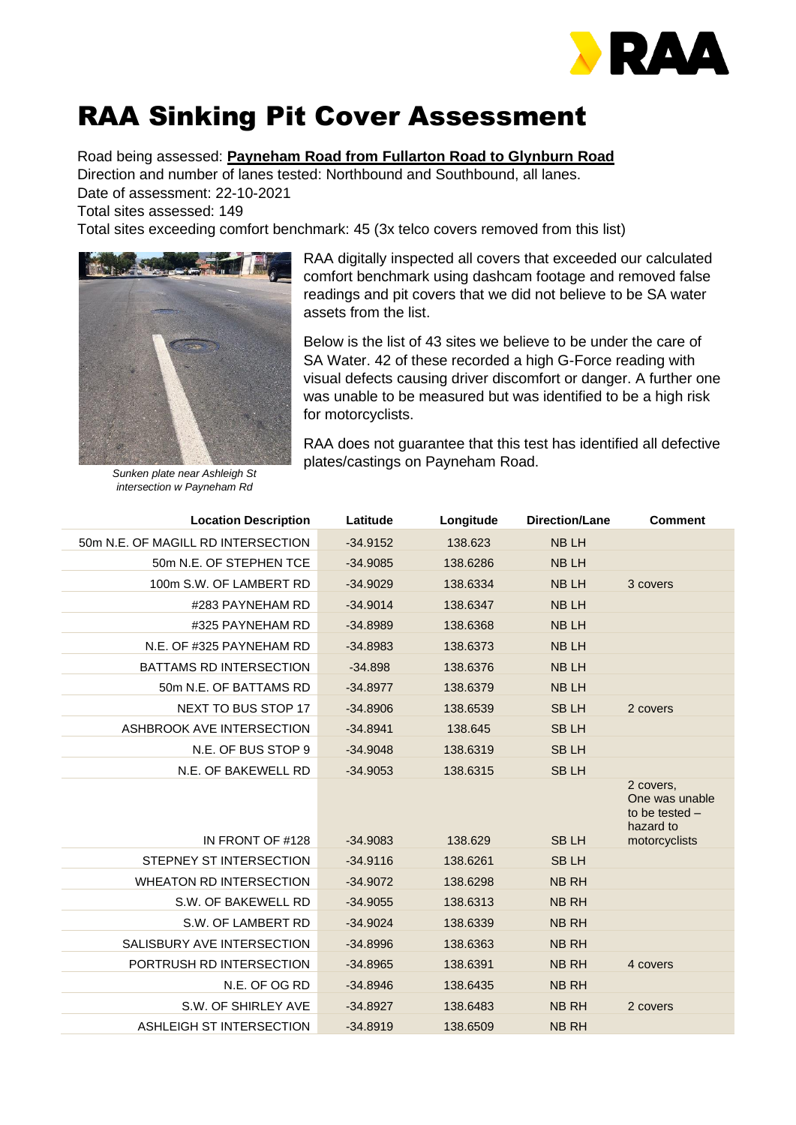

## RAA Sinking Pit Cover Assessment

Road being assessed: **Payneham Road from Fullarton Road to Glynburn Road**

Direction and number of lanes tested: Northbound and Southbound, all lanes. Date of assessment: 22-10-2021

Total sites assessed: 149

Total sites exceeding comfort benchmark: 45 (3x telco covers removed from this list)



*Sunken plate near Ashleigh St intersection w Payneham Rd*

RAA digitally inspected all covers that exceeded our calculated comfort benchmark using dashcam footage and removed false readings and pit covers that we did not believe to be SA water assets from the list.

Below is the list of 43 sites we believe to be under the care of SA Water. 42 of these recorded a high G-Force reading with visual defects causing driver discomfort or danger. A further one was unable to be measured but was identified to be a high risk for motorcyclists.

RAA does not guarantee that this test has identified all defective plates/castings on Payneham Road.

| Latitude   | Longitude | <b>Direction/Lane</b> | <b>Comment</b>                                                                |
|------------|-----------|-----------------------|-------------------------------------------------------------------------------|
| $-34.9152$ | 138.623   | <b>NBLH</b>           |                                                                               |
| $-34.9085$ | 138.6286  | <b>NBLH</b>           |                                                                               |
| $-34.9029$ | 138.6334  | <b>NBLH</b>           | 3 covers                                                                      |
| $-34.9014$ | 138.6347  | <b>NBLH</b>           |                                                                               |
| $-34.8989$ | 138.6368  | <b>NBLH</b>           |                                                                               |
| $-34.8983$ | 138.6373  | <b>NBLH</b>           |                                                                               |
| $-34.898$  | 138.6376  | <b>NBLH</b>           |                                                                               |
| $-34.8977$ | 138.6379  | <b>NBLH</b>           |                                                                               |
| $-34.8906$ | 138.6539  | <b>SBLH</b>           | 2 covers                                                                      |
| $-34.8941$ | 138.645   | <b>SBLH</b>           |                                                                               |
| $-34.9048$ | 138.6319  | <b>SBLH</b>           |                                                                               |
| $-34.9053$ | 138.6315  | <b>SBLH</b>           |                                                                               |
| $-34.9083$ |           | <b>SBLH</b>           | 2 covers.<br>One was unable<br>to be tested $-$<br>hazard to<br>motorcyclists |
| $-34.9116$ | 138.6261  | <b>SBLH</b>           |                                                                               |
| $-34.9072$ | 138.6298  | <b>NB RH</b>          |                                                                               |
| $-34.9055$ | 138.6313  | <b>NB RH</b>          |                                                                               |
| $-34.9024$ | 138.6339  | <b>NB RH</b>          |                                                                               |
| $-34.8996$ | 138.6363  | <b>NB RH</b>          |                                                                               |
| $-34.8965$ | 138.6391  | <b>NB RH</b>          | 4 covers                                                                      |
| $-34.8946$ | 138.6435  | <b>NB RH</b>          |                                                                               |
| $-34.8927$ | 138.6483  | <b>NB RH</b>          | 2 covers                                                                      |
| $-34.8919$ | 138.6509  | <b>NB RH</b>          |                                                                               |
|            |           | 138.629               |                                                                               |